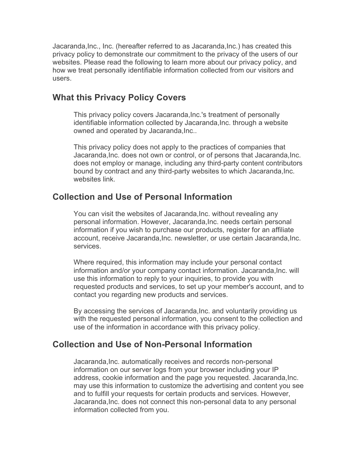Jacaranda,Inc., Inc. (hereafter referred to as Jacaranda,Inc.) has created this privacy policy to demonstrate our commitment to the privacy of the users of our websites. Please read the following to learn more about our privacy policy, and how we treat personally identifiable information collected from our visitors and users.

### **What this Privacy Policy Covers**

This privacy policy covers Jacaranda,Inc.'s treatment of personally identifiable information collected by Jacaranda,Inc. through a website owned and operated by Jacaranda, Inc..

This privacy policy does not apply to the practices of companies that Jacaranda,Inc. does not own or control, or of persons that Jacaranda,Inc. does not employ or manage, including any third-party content contributors bound by contract and any third-party websites to which Jacaranda,Inc. websites link

# **Collection and Use of Personal Information**

You can visit the websites of Jacaranda,Inc. without revealing any personal information. However, Jacaranda,Inc. needs certain personal information if you wish to purchase our products, register for an affiliate account, receive Jacaranda,Inc. newsletter, or use certain Jacaranda,Inc. services.

Where required, this information may include your personal contact information and/or your company contact information. Jacaranda,Inc. will use this information to reply to your inquiries, to provide you with requested products and services, to set up your member's account, and to contact you regarding new products and services.

By accessing the services of Jacaranda,Inc. and voluntarily providing us with the requested personal information, you consent to the collection and use of the information in accordance with this privacy policy.

# **Collection and Use of Non-Personal Information**

Jacaranda,Inc. automatically receives and records non-personal information on our server logs from your browser including your IP address, cookie information and the page you requested. Jacaranda,Inc. may use this information to customize the advertising and content you see and to fulfill your requests for certain products and services. However, Jacaranda,Inc. does not connect this non-personal data to any personal information collected from you.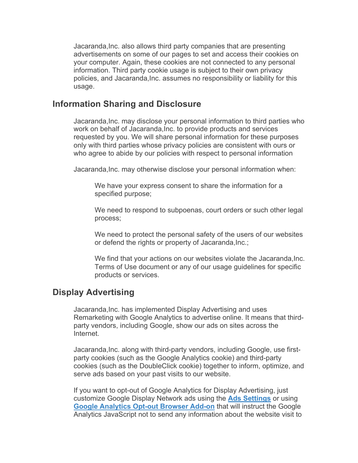Jacaranda,Inc. also allows third party companies that are presenting advertisements on some of our pages to set and access their cookies on your computer. Again, these cookies are not connected to any personal information. Third party cookie usage is subject to their own privacy policies, and Jacaranda,Inc. assumes no responsibility or liability for this usage.

#### **Information Sharing and Disclosure**

Jacaranda,Inc. may disclose your personal information to third parties who work on behalf of Jacaranda,Inc. to provide products and services requested by you. We will share personal information for these purposes only with third parties whose privacy policies are consistent with ours or who agree to abide by our policies with respect to personal information

Jacaranda,Inc. may otherwise disclose your personal information when:

We have your express consent to share the information for a specified purpose;

We need to respond to subpoenas, court orders or such other legal process;

We need to protect the personal safety of the users of our websites or defend the rights or property of Jacaranda,Inc.;

We find that your actions on our websites violate the Jacaranda, Inc. Terms of Use document or any of our usage guidelines for specific products or services.

### **Display Advertising**

Jacaranda,Inc. has implemented Display Advertising and uses Remarketing with Google Analytics to advertise online. It means that thirdparty vendors, including Google, show our ads on sites across the Internet.

Jacaranda,Inc. along with third-party vendors, including Google, use firstparty cookies (such as the Google Analytics cookie) and third-party cookies (such as the DoubleClick cookie) together to inform, optimize, and serve ads based on your past visits to our website.

If you want to opt-out of Google Analytics for Display Advertising, just customize Google Display Network ads using the **Ads Settings** or using **Google Analytics Opt-out Browser Add-on** that will instruct the Google Analytics JavaScript not to send any information about the website visit to